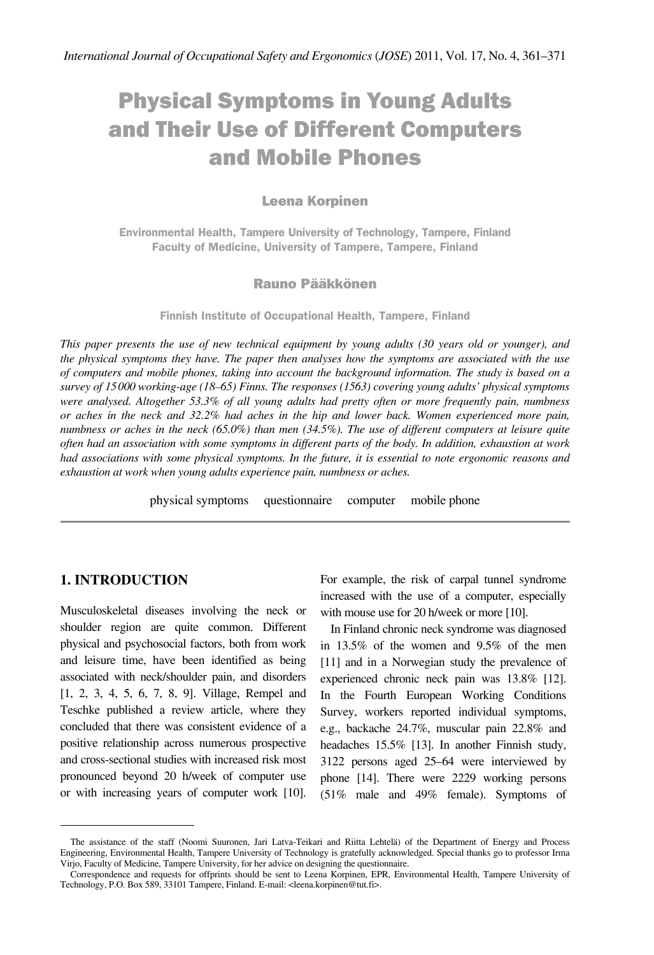# Physical Symptoms in Young Adults and Their Use of Different Computers and Mobile Phones

#### Leena Korpinen

**Environmental Health, Tampere University of Technology, Tampere, Finland Faculty of Medicine, University of Tampere, Tampere, Finland**

#### Rauno Pääkkönen

**Finnish Institute of Occupational Health, Tampere, Finland**

*This paper presents the use of new technical equipment by young adults (30 years old or younger), and the physical symptoms they have. The paper then analyses how the symptoms are associated with the use of computers and mobile phones, taking into account the background information. The study is based on a survey of 15000 working-age (18–65) Finns. The responses (1563) covering young adults' physical symptoms were analysed. Altogether 53.3% of all young adults had pretty often or more frequently pain, numbness or aches in the neck and 32.2% had aches in the hip and lower back. Women experienced more pain, numbness or aches in the neck (65.0%) than men (34.5%). The use of different computers at leisure quite often had an association with some symptoms in different parts of the body. In addition, exhaustion at work had associations with some physical symptoms. In the future, it is essential to note ergonomic reasons and exhaustion at work when young adults experience pain, numbness or aches.* 

physical symptoms questionnaire computer mobile phone

## **1. INTRODUCTION**

Musculoskeletal diseases involving the neck or shoulder region are quite common. Different physical and psychosocial factors, both from work and leisure time, have been identified as being associated with neck/shoulder pain, and disorders [1, 2, 3, 4, 5, 6, 7, 8, 9]. Village, Rempel and Teschke published a review article, where they concluded that there was consistent evidence of a positive relationship across numerous prospective and cross-sectional studies with increased risk most pronounced beyond 20 h/week of computer use or with increasing years of computer work [10]. For example, the risk of carpal tunnel syndrome increased with the use of a computer, especially with mouse use for 20 h/week or more [10].

In Finland chronic neck syndrome was diagnosed in 13.5% of the women and 9.5% of the men [11] and in a Norwegian study the prevalence of experienced chronic neck pain was 13.8% [12]. In the Fourth European Working Conditions Survey, workers reported individual symptoms, e.g., backache 24.7%, muscular pain 22.8% and headaches 15.5% [13]. In another Finnish study, 3122 persons aged 25–64 were interviewed by phone [14]. There were 2229 working persons (51% male and 49% female). Symptoms of

The assistance of the staff (Noomi Suuronen, Jari Latva-Teikari and Riitta Lehtelä) of the Department of Energy and Process Engineering, Environmental Health, Tampere University of Technology is gratefully acknowledged. Special thanks go to professor Irma Virjo, Faculty of Medicine, Tampere University, for her advice on designing the questionnaire.

Correspondence and requests for offprints should be sent to Leena Korpinen, EPR, Environmental Health, Tampere University of Technology, P.O. Box 589, 33101 Tampere, Finland. E-mail: [<leena.korpinen@tut.fi](mailto:leena.korpinen%40tut.fi?subject=)>.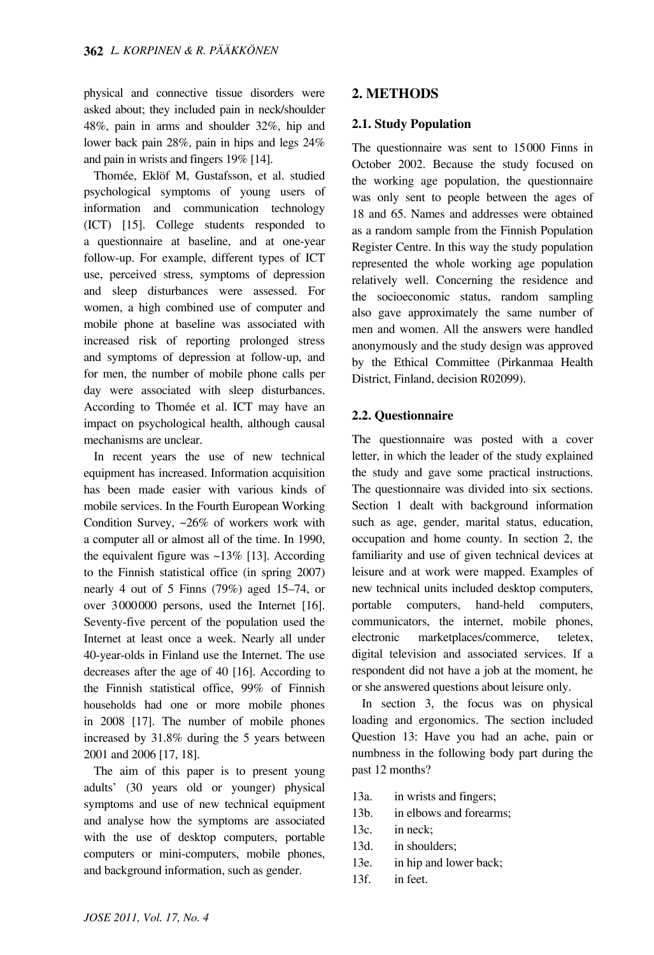physical and connective tissue disorders were asked about; they included pain in neck/shoulder 48%, pain in arms and shoulder 32%, hip and lower back pain 28%, pain in hips and legs 24% and pain in wrists and fingers 19% [14].

Thomée, Eklöf M, Gustafsson, et al. studied psychological symptoms of young users of information and communication technology (ICT) [15]. College students responded to a questionnaire at baseline, and at one-year follow-up. For example, different types of ICT use, perceived stress, symptoms of depression and sleep disturbances were assessed. For women, a high combined use of computer and mobile phone at baseline was associated with increased risk of reporting prolonged stress and symptoms of depression at follow-up, and for men, the number of mobile phone calls per day were associated with sleep disturbances. According to Thomée et al. ICT may have an impact on psychological health, although causal mechanisms are unclear.

In recent years the use of new technical equipment has increased. Information acquisition has been made easier with various kinds of mobile services. In the Fourth European Working Condition Survey, ~26% of workers work with a computer all or almost all of the time. In 1990, the equivalent figure was  $\sim$ 13% [13]. According to the Finnish statistical office (in spring 2007) nearly 4 out of 5 Finns (79%) aged 15–74, or over 3000000 persons, used the Internet [16]. Seventy-five percent of the population used the Internet at least once a week. Nearly all under 40-year-olds in Finland use the Internet. The use decreases after the age of 40 [16]. According to the Finnish statistical office, 99% of Finnish households had one or more mobile phones in 2008 [17]. The number of mobile phones increased by 31.8% during the 5 years between 2001 and 2006 [17, 18].

The aim of this paper is to present young adults' (30 years old or younger) physical symptoms and use of new technical equipment and analyse how the symptoms are associated with the use of desktop computers, portable computers or mini-computers, mobile phones, and background information, such as gender.

## **2. METHODS**

## **2.1. Study Population**

The questionnaire was sent to 15000 Finns in October 2002. Because the study focused on the working age population, the questionnaire was only sent to people between the ages of 18 and 65. Names and addresses were obtained as a random sample from the Finnish Population Register Centre. In this way the study population represented the whole working age population relatively well. Concerning the residence and the socioeconomic status, random sampling also gave approximately the same number of men and women. All the answers were handled anonymously and the study design was approved by the Ethical Committee (Pirkanmaa Health District, Finland, decision R02099).

## **2.2. Questionnaire**

The questionnaire was posted with a cover letter, in which the leader of the study explained the study and gave some practical instructions. The questionnaire was divided into six sections. Section 1 dealt with background information such as age, gender, marital status, education, occupation and home county. In section 2, the familiarity and use of given technical devices at leisure and at work were mapped. Examples of new technical units included desktop computers, portable computers, hand-held computers, communicators, the internet, mobile phones, electronic marketplaces/commerce, teletex, digital television and associated services. If a respondent did not have a job at the moment, he or she answered questions about leisure only.

In section 3, the focus was on physical loading and ergonomics. The section included Question 13: Have you had an ache, pain or numbness in the following body part during the past 12 months?

- 13a. in wrists and fingers;
- 13b. in elbows and forearms;
- 13c. in neck;
- 13d. in shoulders;
- 13e. in hip and lower back;
- 13f. in feet.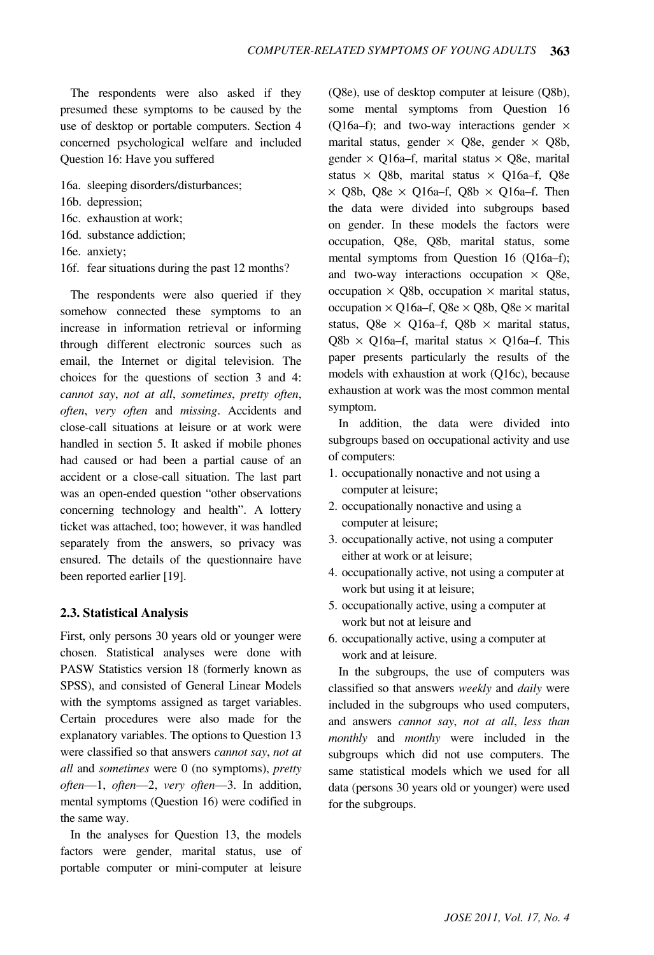The respondents were also asked if they presumed these symptoms to be caused by the use of desktop or portable computers. Section 4 concerned psychological welfare and included Question 16: Have you suffered

- 16a. sleeping disorders/disturbances;
- 16b. depression;
- 16c. exhaustion at work;
- 16d. substance addiction;
- 16e. anxiety;
- 16f. fear situations during the past 12 months?

The respondents were also queried if they somehow connected these symptoms to an increase in information retrieval or informing through different electronic sources such as email, the Internet or digital television. The choices for the questions of section 3 and 4: *cannot say*, *not at all*, *sometimes*, *pretty often*, *often*, *very often* and *missing*. Accidents and close-call situations at leisure or at work were handled in section 5. It asked if mobile phones had caused or had been a partial cause of an accident or a close-call situation. The last part was an open-ended question "other observations concerning technology and health". A lottery ticket was attached, too; however, it was handled separately from the answers, so privacy was ensured. The details of the questionnaire have been reported earlier [19].

## **2.3. Statistical Analysis**

First, only persons 30 years old or younger were chosen. Statistical analyses were done with PASW Statistics version 18 (formerly known as SPSS), and consisted of General Linear Models with the symptoms assigned as target variables. Certain procedures were also made for the explanatory variables. The options to Question 13 were classified so that answers *cannot say*, *not at all* and *sometimes* were 0 (no symptoms), *pretty often*—1, *often*—2, *very often*—3. In addition, mental symptoms (Question 16) were codified in the same way.

In the analyses for Question 13, the models factors were gender, marital status, use of portable computer or mini-computer at leisure

(Q8e), use of desktop computer at leisure (Q8b), some mental symptoms from Question 16 (Q16a–f); and two-way interactions gender  $\times$ marital status, gender  $\times$  Q8e, gender  $\times$  Q8b, gender  $\times$  O16a–f, marital status  $\times$  O8e, marital status  $\times$  Q8b, marital status  $\times$  Q16a–f, Q8e  $\times$  Q8b, Q8e  $\times$  Q16a–f, Q8b  $\times$  Q16a–f. Then the data were divided into subgroups based on gender. In these models the factors were occupation, Q8e, Q8b, marital status, some mental symptoms from Question 16 (Q16a–f); and two-way interactions occupation  $\times$  Q8e, occupation  $\times$  Q8b, occupation  $\times$  marital status, occupation  $\times$  O16a–f, O8e  $\times$  O8b, O8e  $\times$  marital status, Q8e  $\times$  Q16a–f, Q8b  $\times$  marital status, Q8b  $\times$  Q16a–f, marital status  $\times$  Q16a–f. This paper presents particularly the results of the models with exhaustion at work (Q16c), because exhaustion at work was the most common mental symptom.

In addition, the data were divided into subgroups based on occupational activity and use of computers:

- 1. occupationally nonactive and not using a computer at leisure;
- 2. occupationally nonactive and using a computer at leisure;
- 3. occupationally active, not using a computer either at work or at leisure;
- 4. occupationally active, not using a computer at work but using it at leisure;
- 5. occupationally active, using a computer at work but not at leisure and
- 6. occupationally active, using a computer at work and at leisure.

In the subgroups, the use of computers was classified so that answers *weekly* and *daily* were included in the subgroups who used computers, and answers *cannot say*, *not at all*, *less than monthly* and *monthy* were included in the subgroups which did not use computers. The same statistical models which we used for all data (persons 30 years old or younger) were used for the subgroups.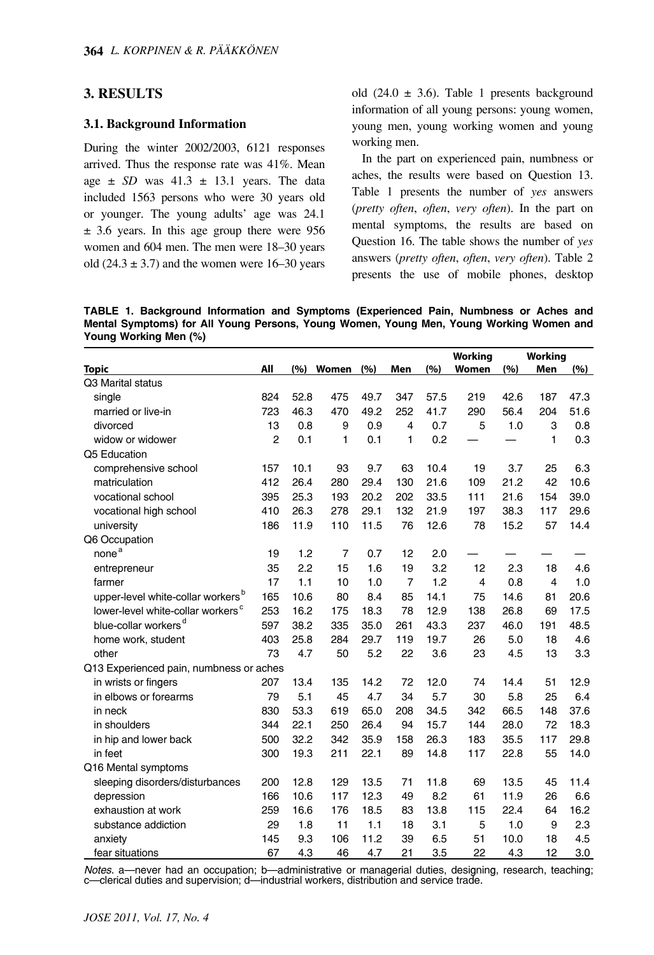## **3. RESULTS**

#### **3.1. Background Information**

During the winter 2002/2003, 6121 responses arrived. Thus the response rate was 41%. Mean age  $\pm$  *SD* was 41.3  $\pm$  13.1 years. The data included 1563 persons who were 30 years old or younger. The young adults' age was 24.1  $\pm$  3.6 years. In this age group there were 956 women and 604 men. The men were 18–30 years old  $(24.3 \pm 3.7)$  and the women were 16–30 years old (24.0  $\pm$  3.6). Table 1 presents background information of all young persons: young women, young men, young working women and young working men.

In the part on experienced pain, numbness or aches, the results were based on Question 13. Table 1 presents the number of *yes* answers (*pretty often*, *often*, *very often*). In the part on mental symptoms, the results are based on Question 16. The table shows the number of *yes* answers (*pretty often, often, very often*). Table 2 presents the use of mobile phones, desktop

**TABLE 1. Background Information and Symptoms (Experienced Pain, Numbness or Aches and Mental Symptoms) for All Young Persons, Young Women, Young Men, Young Working Women and Young Working Men (%)**

|                                               |                |      |                |      |                |      | <b>Working</b> |      | <b>Working</b> |      |
|-----------------------------------------------|----------------|------|----------------|------|----------------|------|----------------|------|----------------|------|
| <b>Topic</b>                                  | All            | (%)  | <b>Women</b>   | (%)  | Men            | (%)  | Women          | (%)  | Men            | (%)  |
| Q3 Marital status                             |                |      |                |      |                |      |                |      |                |      |
| single                                        | 824            | 52.8 | 475            | 49.7 | 347            | 57.5 | 219            | 42.6 | 187            | 47.3 |
| married or live-in                            | 723            | 46.3 | 470            | 49.2 | 252            | 41.7 | 290            | 56.4 | 204            | 51.6 |
| divorced                                      | 13             | 0.8  | 9              | 0.9  | $\overline{4}$ | 0.7  | 5              | 1.0  | 3              | 0.8  |
| widow or widower                              | $\overline{c}$ | 0.1  | 1              | 0.1  | 1              | 0.2  |                |      | 1              | 0.3  |
| Q5 Education                                  |                |      |                |      |                |      |                |      |                |      |
| comprehensive school                          | 157            | 10.1 | 93             | 9.7  | 63             | 10.4 | 19             | 3.7  | 25             | 6.3  |
| matriculation                                 | 412            | 26.4 | 280            | 29.4 | 130            | 21.6 | 109            | 21.2 | 42             | 10.6 |
| vocational school                             | 395            | 25.3 | 193            | 20.2 | 202            | 33.5 | 111            | 21.6 | 154            | 39.0 |
| vocational high school                        | 410            | 26.3 | 278            | 29.1 | 132            | 21.9 | 197            | 38.3 | 117            | 29.6 |
| university                                    | 186            | 11.9 | 110            | 11.5 | 76             | 12.6 | 78             | 15.2 | 57             | 14.4 |
| Q6 Occupation                                 |                |      |                |      |                |      |                |      |                |      |
| none <sup>a</sup>                             | 19             | 1.2  | $\overline{7}$ | 0.7  | 12             | 2.0  |                |      |                |      |
| entrepreneur                                  | 35             | 2.2  | 15             | 1.6  | 19             | 3.2  | 12             | 2.3  | 18             | 4.6  |
| farmer                                        | 17             | 1.1  | 10             | 1.0  | $\overline{7}$ | 1.2  | $\overline{4}$ | 0.8  | 4              | 1.0  |
| upper-level white-collar workers <sup>b</sup> | 165            | 10.6 | 80             | 8.4  | 85             | 14.1 | 75             | 14.6 | 81             | 20.6 |
| lower-level white-collar workers <sup>c</sup> | 253            | 16.2 | 175            | 18.3 | 78             | 12.9 | 138            | 26.8 | 69             | 17.5 |
| blue-collar workers <sup>d</sup>              | 597            | 38.2 | 335            | 35.0 | 261            | 43.3 | 237            | 46.0 | 191            | 48.5 |
| home work, student                            | 403            | 25.8 | 284            | 29.7 | 119            | 19.7 | 26             | 5.0  | 18             | 4.6  |
| other                                         | 73             | 4.7  | 50             | 5.2  | 22             | 3.6  | 23             | 4.5  | 13             | 3.3  |
| Q13 Experienced pain, numbness or aches       |                |      |                |      |                |      |                |      |                |      |
| in wrists or fingers                          | 207            | 13.4 | 135            | 14.2 | 72             | 12.0 | 74             | 14.4 | 51             | 12.9 |
| in elbows or forearms                         | 79             | 5.1  | 45             | 4.7  | 34             | 5.7  | 30             | 5.8  | 25             | 6.4  |
| in neck                                       | 830            | 53.3 | 619            | 65.0 | 208            | 34.5 | 342            | 66.5 | 148            | 37.6 |
| in shoulders                                  | 344            | 22.1 | 250            | 26.4 | 94             | 15.7 | 144            | 28.0 | 72             | 18.3 |
| in hip and lower back                         | 500            | 32.2 | 342            | 35.9 | 158            | 26.3 | 183            | 35.5 | 117            | 29.8 |
| in feet                                       | 300            | 19.3 | 211            | 22.1 | 89             | 14.8 | 117            | 22.8 | 55             | 14.0 |
| Q16 Mental symptoms                           |                |      |                |      |                |      |                |      |                |      |
| sleeping disorders/disturbances               | 200            | 12.8 | 129            | 13.5 | 71             | 11.8 | 69             | 13.5 | 45             | 11.4 |
| depression                                    | 166            | 10.6 | 117            | 12.3 | 49             | 8.2  | 61             | 11.9 | 26             | 6.6  |
| exhaustion at work                            | 259            | 16.6 | 176            | 18.5 | 83             | 13.8 | 115            | 22.4 | 64             | 16.2 |
| substance addiction                           | 29             | 1.8  | 11             | 1.1  | 18             | 3.1  | 5              | 1.0  | 9              | 2.3  |
| anxiety                                       | 145            | 9.3  | 106            | 11.2 | 39             | 6.5  | 51             | 10.0 | 18             | 4.5  |
| fear situations                               | 67             | 4.3  | 46             | 4.7  | 21             | 3.5  | 22             | 4.3  | 12             | 3.0  |

*Notes.* a—never had an occupation; b—administrative or managerial duties, designing, research, teaching; c—clerical duties and supervision; d—industrial workers, distribution and service trade.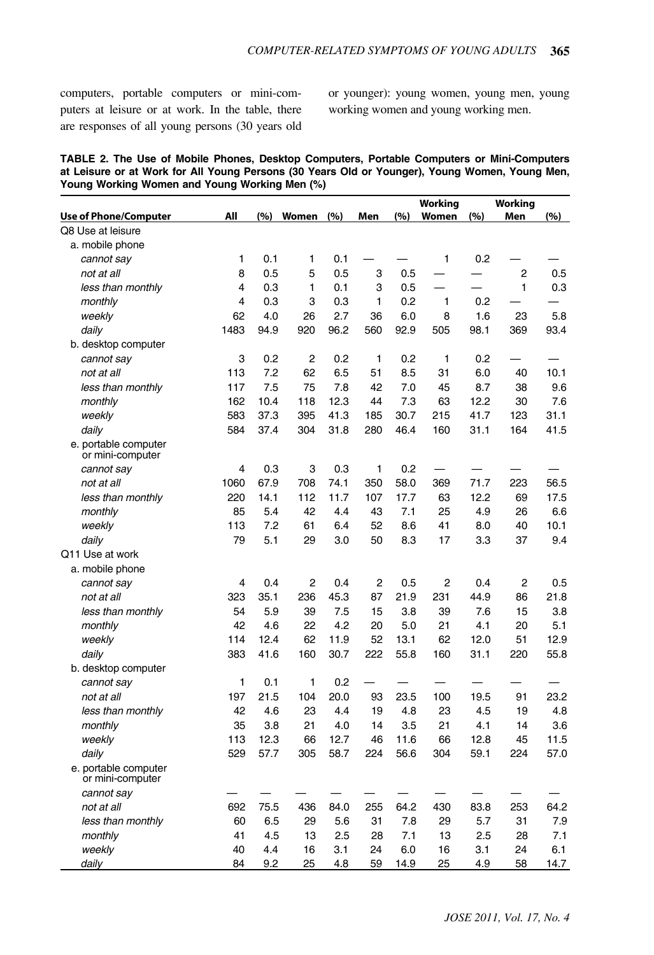computers, portable computers or mini-computers at leisure or at work. In the table, there are responses of all young persons (30 years old or younger): young women, young men, young working women and young working men.

|  |                                               |  |  |  | TABLE 2. The Use of Mobile Phones, Desktop Computers, Portable Computers or Mini-Computers     |
|--|-----------------------------------------------|--|--|--|------------------------------------------------------------------------------------------------|
|  |                                               |  |  |  | at Leisure or at Work for All Young Persons (30 Years Old or Younger), Young Women, Young Men, |
|  | Young Working Women and Young Working Men (%) |  |  |  |                                                                                                |

|                                          |      |      |                |      |                |      | Working        |      | <b>Working</b> |      |
|------------------------------------------|------|------|----------------|------|----------------|------|----------------|------|----------------|------|
| <b>Use of Phone/Computer</b>             | All  | (%)  | Women          | (%)  | Men            | (%)  | Women          | (%)  | Men            | (%)  |
| Q8 Use at leisure                        |      |      |                |      |                |      |                |      |                |      |
| a. mobile phone                          |      |      |                |      |                |      |                |      |                |      |
| cannot say                               | 1    | 0.1  | 1              | 0.1  |                |      | 1              | 0.2  |                |      |
| not at all                               | 8    | 0.5  | 5              | 0.5  | 3              | 0.5  |                |      | $\overline{2}$ | 0.5  |
| less than monthly                        | 4    | 0.3  | 1              | 0.1  | 3              | 0.5  |                |      | 1              | 0.3  |
| monthly                                  | 4    | 0.3  | 3              | 0.3  | 1              | 0.2  | 1              | 0.2  |                |      |
| weekly                                   | 62   | 4.0  | 26             | 2.7  | 36             | 6.0  | 8              | 1.6  | 23             | 5.8  |
| daily                                    | 1483 | 94.9 | 920            | 96.2 | 560            | 92.9 | 505            | 98.1 | 369            | 93.4 |
| b. desktop computer                      |      |      |                |      |                |      |                |      |                |      |
| cannot say                               | 3    | 0.2  | $\overline{c}$ | 0.2  | 1              | 0.2  | 1              | 0.2  |                |      |
| not at all                               | 113  | 7.2  | 62             | 6.5  | 51             | 8.5  | 31             | 6.0  | 40             | 10.1 |
| less than monthly                        | 117  | 7.5  | 75             | 7.8  | 42             | 7.0  | 45             | 8.7  | 38             | 9.6  |
| monthly                                  | 162  | 10.4 | 118            | 12.3 | 44             | 7.3  | 63             | 12.2 | 30             | 7.6  |
| weekly                                   | 583  | 37.3 | 395            | 41.3 | 185            | 30.7 | 215            | 41.7 | 123            | 31.1 |
| daily                                    | 584  | 37.4 | 304            | 31.8 | 280            | 46.4 | 160            | 31.1 | 164            | 41.5 |
| e. portable computer<br>or mini-computer |      |      |                |      |                |      |                |      |                |      |
| cannot say                               | 4    | 0.3  | 3              | 0.3  | 1              | 0.2  |                |      |                |      |
| not at all                               | 1060 | 67.9 | 708            | 74.1 | 350            | 58.0 | 369            | 71.7 | 223            | 56.5 |
| less than monthly                        | 220  | 14.1 | 112            | 11.7 | 107            | 17.7 | 63             | 12.2 | 69             | 17.5 |
| monthly                                  | 85   | 5.4  | 42             | 4.4  | 43             | 7.1  | 25             | 4.9  | 26             | 6.6  |
| weekly                                   | 113  | 7.2  | 61             | 6.4  | 52             | 8.6  | 41             | 8.0  | 40             | 10.1 |
| daily                                    | 79   | 5.1  | 29             | 3.0  | 50             | 8.3  | 17             | 3.3  | 37             | 9.4  |
| Q11 Use at work                          |      |      |                |      |                |      |                |      |                |      |
| a. mobile phone                          |      |      |                |      |                |      |                |      |                |      |
| cannot say                               | 4    | 0.4  | $\overline{2}$ | 0.4  | $\overline{2}$ | 0.5  | $\overline{2}$ | 0.4  | $\overline{c}$ | 0.5  |
| not at all                               | 323  | 35.1 | 236            | 45.3 | 87             | 21.9 | 231            | 44.9 | 86             | 21.8 |
| less than monthly                        | 54   | 5.9  | 39             | 7.5  | 15             | 3.8  | 39             | 7.6  | 15             | 3.8  |
| monthly                                  | 42   | 4.6  | 22             | 4.2  | 20             | 5.0  | 21             | 4.1  | 20             | 5.1  |
| weekly                                   | 114  | 12.4 | 62             | 11.9 | 52             | 13.1 | 62             | 12.0 | 51             | 12.9 |
| daily                                    | 383  | 41.6 | 160            | 30.7 | 222            | 55.8 | 160            | 31.1 | 220            | 55.8 |
| b. desktop computer                      |      |      |                |      |                |      |                |      |                |      |
| cannot say                               | 1    | 0.1  | 1              | 0.2  |                |      |                |      |                |      |
| not at all                               | 197  | 21.5 | 104            | 20.0 | 93             | 23.5 | 100            | 19.5 | 91             | 23.2 |
| less than monthly                        | 42   | 4.6  | 23             | 4.4  | 19             | 4.8  | 23             | 4.5  | 19             | 4.8  |
| monthly                                  | 35   | 3.8  | 21             | 4.0  | 14             | 3.5  | 21             | 4.1  | 14             | 3.6  |
| weekly                                   | 113  | 12.3 | 66             | 12.7 | 46             | 11.6 | 66             | 12.8 | 45             | 11.5 |
| daily                                    | 529  | 57.7 | 305            | 58.7 | 224            | 56.6 | 304            | 59.1 | 224            | 57.0 |
| e. portable computer<br>or mini-computer |      |      |                |      |                |      |                |      |                |      |
| cannot say                               |      |      |                |      |                |      |                |      |                |      |
| not at all                               | 692  | 75.5 | 436            | 84.0 | 255            | 64.2 | 430            | 83.8 | 253            | 64.2 |
| less than monthly                        | 60   | 6.5  | 29             | 5.6  | 31             | 7.8  | 29             | 5.7  | 31             | 7.9  |
| monthly                                  | 41   | 4.5  | 13             | 2.5  | 28             | 7.1  | 13             | 2.5  | 28             | 7.1  |
| weekly                                   | 40   | 4.4  | 16             | 3.1  | 24             | 6.0  | 16             | 3.1  | 24             | 6.1  |
| daily                                    | 84   | 9.2  | 25             | 4.8  | 59             | 14.9 | 25             | 4.9  | 58             | 14.7 |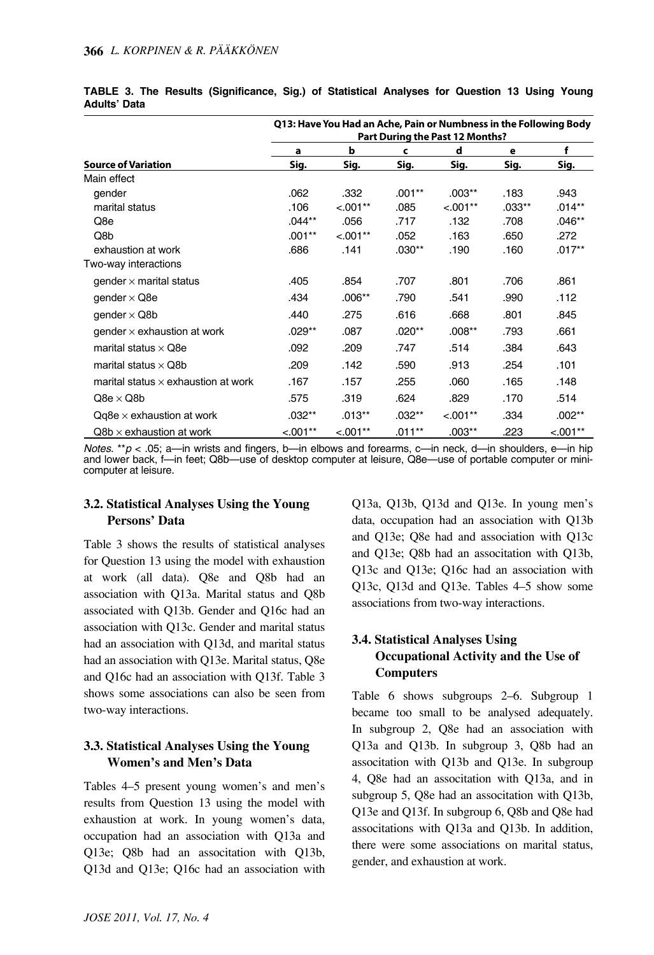|                                            | Q13: Have You Had an Ache, Pain or Numbness in the Following Body<br>Part During the Past 12 Months? |            |          |            |          |            |  |  |  |  |  |
|--------------------------------------------|------------------------------------------------------------------------------------------------------|------------|----------|------------|----------|------------|--|--|--|--|--|
|                                            | a                                                                                                    | b          | c        | d          | e        | f          |  |  |  |  |  |
| <b>Source of Variation</b>                 | Sig.                                                                                                 | Sig.       | Sig.     | Sig.       | Sig.     | Sig.       |  |  |  |  |  |
| Main effect                                |                                                                                                      |            |          |            |          |            |  |  |  |  |  |
| gender                                     | .062                                                                                                 | .332       | $.001**$ | .003**     | .183     | .943       |  |  |  |  |  |
| marital status                             | .106                                                                                                 | $< .001**$ | .085     | $< .001**$ | $.033**$ | $.014**$   |  |  |  |  |  |
| Q8e                                        | .044**                                                                                               | .056       | .717     | .132       | .708     | $.046**$   |  |  |  |  |  |
| Q8b                                        | $.001**$                                                                                             | $< 0.01**$ | .052     | .163       | .650     | .272       |  |  |  |  |  |
| exhaustion at work                         | .686                                                                                                 | .141       | $.030**$ | .190       | .160     | $.017**$   |  |  |  |  |  |
| Two-way interactions                       |                                                                                                      |            |          |            |          |            |  |  |  |  |  |
| gender $\times$ marital status             | .405                                                                                                 | .854       | .707     | .801       | .706     | .861       |  |  |  |  |  |
| gender $\times$ Q8e                        | .434                                                                                                 | $.006**$   | .790     | .541       | .990     | .112       |  |  |  |  |  |
| gender $\times$ Q8b                        | .440                                                                                                 | .275       | .616     | .668       | .801     | .845       |  |  |  |  |  |
| gender $\times$ exhaustion at work         | .029**                                                                                               | .087       | $.020**$ | $.008**$   | .793     | .661       |  |  |  |  |  |
| marital status $\times$ Q8e                | .092                                                                                                 | .209       | .747     | .514       | .384     | .643       |  |  |  |  |  |
| marital status $\times$ Q8b                | .209                                                                                                 | .142       | .590     | .913       | .254     | .101       |  |  |  |  |  |
| marital status $\times$ exhaustion at work | .167                                                                                                 | .157       | .255     | .060       | .165     | .148       |  |  |  |  |  |
| $Q8e \times Q8b$                           | .575                                                                                                 | .319       | .624     | .829       | .170     | .514       |  |  |  |  |  |
| $Qq8e \times$ exhaustion at work           | $.032**$                                                                                             | $.013***$  | $.032**$ | $< 0.01**$ | .334     | $.002**$   |  |  |  |  |  |
| $Q8b \times$ exhaustion at work            | $< 0.01**$                                                                                           | $< 0.01**$ | $.011**$ | $.003**$   | .223     | $< 0.01**$ |  |  |  |  |  |

|                     |  | TABLE 3. The Results (Significance, Sig.) of Statistical Analyses for Question 13 Using Young |  |  |  |  |  |
|---------------------|--|-----------------------------------------------------------------------------------------------|--|--|--|--|--|
| <b>Adults' Data</b> |  |                                                                                               |  |  |  |  |  |

*Notes.* \*\**p* < .05; a—in wrists and fingers, b—in elbows and forearms, c—in neck, d—in shoulders, e—in hip and lower back, f-in feet; Q8b-use of desktop computer at leisure, Q8e-use of portable computer or minicomputer at leisure.

### **3.2. Statistical Analyses Using the Young Persons' Data**

Table 3 shows the results of statistical analyses for Question 13 using the model with exhaustion at work (all data). Q8e and Q8b had an association with Q13a. Marital status and Q8b associated with Q13b. Gender and Q16c had an association with Q13c. Gender and marital status had an association with Q13d, and marital status had an association with Q13e. Marital status, Q8e and Q16c had an association with Q13f. Table 3 shows some associations can also be seen from two-way interactions.

## **3.3. Statistical Analyses Using the Young Women's and Men's Data**

Tables 4–5 present young women's and men's results from Question 13 using the model with exhaustion at work. In young women's data, occupation had an association with Q13a and Q13e; Q8b had an associtation with Q13b, Q13d and Q13e; Q16c had an association with Q13a, Q13b, Q13d and Q13e. In young men's data, occupation had an association with Q13b and Q13e; Q8e had and association with Q13c and Q13e; Q8b had an associtation with Q13b, Q13c and Q13e; Q16c had an association with Q13c, Q13d and Q13e. Tables 4–5 show some associations from two-way interactions.

## **3.4. Statistical Analyses Using Occupational Activity and the Use of Computers**

Table 6 shows subgroups 2–6. Subgroup 1 became too small to be analysed adequately. In subgroup 2, Q8e had an association with Q13a and Q13b. In subgroup 3, Q8b had an associtation with Q13b and Q13e. In subgroup 4, Q8e had an associtation with Q13a, and in subgroup 5, Q8e had an associtation with Q13b, Q13e and Q13f. In subgroup 6, Q8b and Q8e had associtations with Q13a and Q13b. In addition, there were some associations on marital status, gender, and exhaustion at work.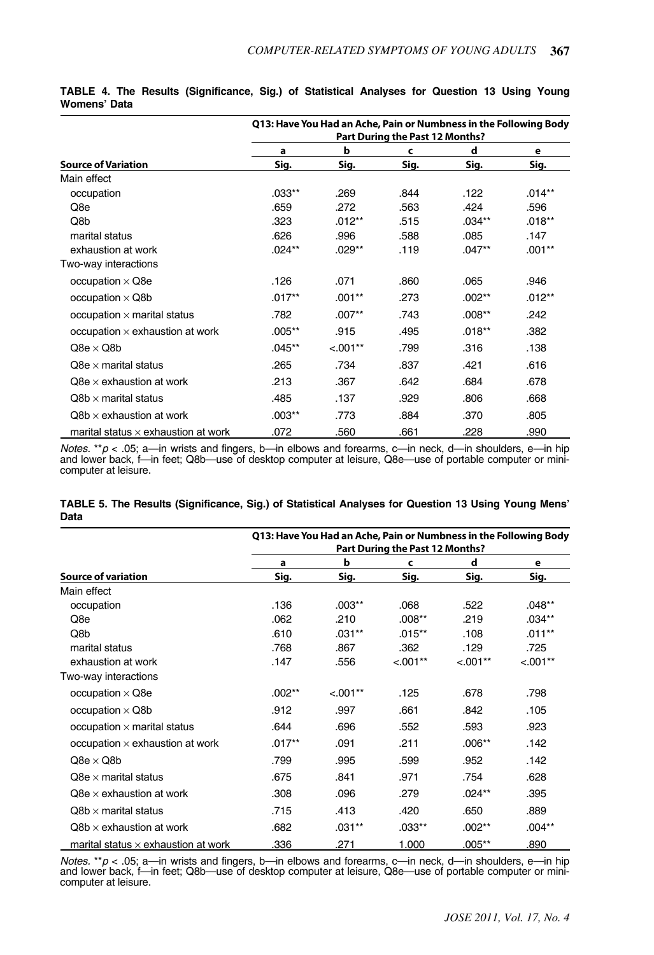|                                            |           | Q13: Have You Had an Ache, Pain or Numbness in the Following Body |                                 |           |          |
|--------------------------------------------|-----------|-------------------------------------------------------------------|---------------------------------|-----------|----------|
|                                            |           |                                                                   | Part During the Past 12 Months? |           |          |
|                                            | a         | b                                                                 | c                               | d         | е        |
| <b>Source of Variation</b>                 | Sig.      | Sig.                                                              | Sig.                            | Sig.      | Sig.     |
| Main effect                                |           |                                                                   |                                 |           |          |
| occupation                                 | $.033***$ | .269                                                              | .844                            | .122      | $.014**$ |
| Q8e                                        | .659      | .272                                                              | .563                            | .424      | .596     |
| Q8b                                        | .323      | $.012***$                                                         | .515                            | $.034***$ | $.018**$ |
| marital status                             | .626      | .996                                                              | .588                            | .085      | .147     |
| exhaustion at work                         | $.024***$ | .029**                                                            | .119                            | $.047**$  | $.001**$ |
| Two-way interactions                       |           |                                                                   |                                 |           |          |
| occupation $\times$ Q8e                    | .126      | .071                                                              | .860                            | .065      | .946     |
| occupation $\times$ Q8b                    | $.017**$  | $.001**$                                                          | .273                            | $.002**$  | $.012**$ |
| occupation $\times$ marital status         | .782      | $.007**$                                                          | .743                            | $.008**$  | .242     |
| occupation $\times$ exhaustion at work     | $.005***$ | .915                                                              | .495                            | $.018**$  | .382     |
| $Q8e \times Q8b$                           | $.045***$ | $< .001**$                                                        | .799                            | .316      | .138     |
| $Q8e \times$ marital status                | .265      | .734                                                              | .837                            | .421      | .616     |
| $Q8e \times$ exhaustion at work            | .213      | .367                                                              | .642                            | .684      | .678     |
| $Q8b \times$ marital status                | .485      | .137                                                              | .929                            | .806      | .668     |
| $Q8b \times$ exhaustion at work            | $.003**$  | .773                                                              | .884                            | .370      | .805     |
| marital status $\times$ exhaustion at work | .072      | .560                                                              | .661                            | .228      | .990     |

|              |  | TABLE 4. The Results (Significance, Sig.) of Statistical Analyses for Question 13 Using Young |  |  |  |  |  |
|--------------|--|-----------------------------------------------------------------------------------------------|--|--|--|--|--|
| Womens' Data |  |                                                                                               |  |  |  |  |  |

*Notes.* \*\**p* < .05; a—in wrists and fingers, b—in elbows and forearms, c—in neck, d—in shoulders, e—in hip and lower back, f—in feet; Q8b—use of desktop computer at leisure, Q8e—use of portable computer or minicomputer at leisure.

|      |  |  |  | TABLE 5. The Results (Significance, Sig.) of Statistical Analyses for Question 13 Using Young Mens' |
|------|--|--|--|-----------------------------------------------------------------------------------------------------|
| Data |  |  |  |                                                                                                     |

|                                            | Q13: Have You Had an Ache, Pain or Numbness in the Following Body<br>Part During the Past 12 Months? |            |            |            |            |  |  |  |  |  |  |
|--------------------------------------------|------------------------------------------------------------------------------------------------------|------------|------------|------------|------------|--|--|--|--|--|--|
|                                            | а                                                                                                    | b          | c          | d          | е          |  |  |  |  |  |  |
| <b>Source of variation</b>                 | Sig.                                                                                                 | Sig.       | Sig.       | Sig.       | Sig.       |  |  |  |  |  |  |
| Main effect                                |                                                                                                      |            |            |            |            |  |  |  |  |  |  |
| occupation                                 | .136                                                                                                 | $.003***$  | .068       | .522       | $.048**$   |  |  |  |  |  |  |
| Q8e                                        | .062                                                                                                 | .210       | $.008**$   | .219       | $.034***$  |  |  |  |  |  |  |
| Q8b                                        | .610                                                                                                 | $.031**$   | $.015***$  | .108       | $.011***$  |  |  |  |  |  |  |
| marital status                             | .768                                                                                                 | .867       | .362       | .129       | .725       |  |  |  |  |  |  |
| exhaustion at work                         | .147                                                                                                 | .556       | $< 0.01**$ | $< 0.01**$ | $< 0.01**$ |  |  |  |  |  |  |
| Two-way interactions                       |                                                                                                      |            |            |            |            |  |  |  |  |  |  |
| occupation $\times$ Q8e                    | $.002***$                                                                                            | $< 0.01**$ | .125       | .678       | .798       |  |  |  |  |  |  |
| occupation $\times$ Q8b                    | .912                                                                                                 | .997       | .661       | .842       | .105       |  |  |  |  |  |  |
| occupation $\times$ marital status         | .644                                                                                                 | .696       | .552       | .593       | .923       |  |  |  |  |  |  |
| occupation $\times$ exhaustion at work     | $.017**$                                                                                             | .091       | .211       | $.006**$   | .142       |  |  |  |  |  |  |
| $Q8e \times Q8b$                           | .799                                                                                                 | .995       | .599       | .952       | .142       |  |  |  |  |  |  |
| $Q8e \times$ marital status                | .675                                                                                                 | .841       | .971       | .754       | .628       |  |  |  |  |  |  |
| $Q8e \times$ exhaustion at work            | .308                                                                                                 | .096       | .279       | $.024**$   | .395       |  |  |  |  |  |  |
| $Q8b \times$ marital status                | .715                                                                                                 | .413       | .420       | .650       | .889       |  |  |  |  |  |  |
| $Q8b \times$ exhaustion at work            | .682                                                                                                 | $.031***$  | $.033***$  | $.002***$  | $.004***$  |  |  |  |  |  |  |
| marital status $\times$ exhaustion at work | .336                                                                                                 | .271       | 1.000      | $.005**$   | .890       |  |  |  |  |  |  |

*Notes.* \*\**p* < .05; a—in wrists and fingers, b—in elbows and forearms, c—in neck, d—in shoulders, e—in hip and lower back, f—in feet; Q8b—use of desktop computer at leisure, Q8e—use of portable computer or minicomputer at leisure.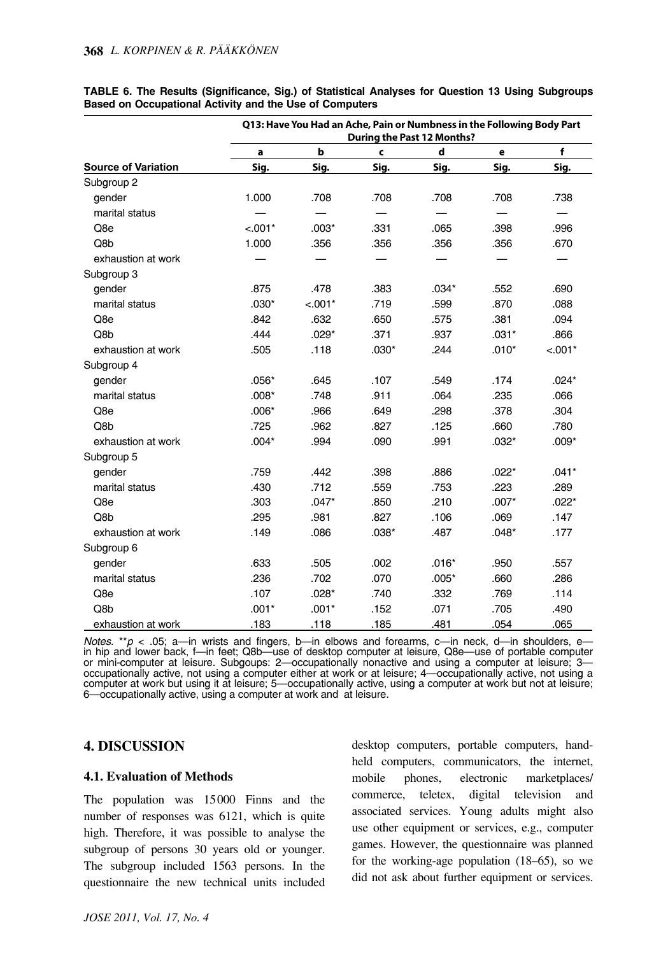|                            |           | Q13: Have You Had an Ache, Pain or Numbness in the Following Body Part |         | <b>During the Past 12 Months?</b> |         |             |
|----------------------------|-----------|------------------------------------------------------------------------|---------|-----------------------------------|---------|-------------|
|                            | a         | b                                                                      | C       | d                                 | e       | $\mathbf f$ |
| <b>Source of Variation</b> | Sig.      | Sig.                                                                   | Sig.    | Sig.                              | Sig.    | Sig.        |
| Subgroup 2                 |           |                                                                        |         |                                   |         |             |
| gender                     | 1.000     | .708                                                                   | .708    | .708                              | .708    | .738        |
| marital status             |           |                                                                        |         |                                   |         |             |
| Q8e                        | $< 0.01*$ | $.003*$                                                                | .331    | .065                              | .398    | .996        |
| Q8b                        | 1.000     | .356                                                                   | .356    | .356                              | .356    | .670        |
| exhaustion at work         |           |                                                                        |         |                                   |         |             |
| Subgroup 3                 |           |                                                                        |         |                                   |         |             |
| gender                     | .875      | .478                                                                   | .383    | $.034*$                           | .552    | .690        |
| marital status             | $.030*$   | $< .001*$                                                              | .719    | .599                              | .870    | .088        |
| Q8e                        | .842      | .632                                                                   | .650    | .575                              | .381    | .094        |
| Q8b                        | .444      | $.029*$                                                                | .371    | .937                              | $.031*$ | .866        |
| exhaustion at work         | .505      | .118                                                                   | $.030*$ | .244                              | $.010*$ | $< .001*$   |
| Subgroup 4                 |           |                                                                        |         |                                   |         |             |
| gender                     | $.056*$   | .645                                                                   | .107    | .549                              | .174    | $.024*$     |
| marital status             | $.008*$   | .748                                                                   | .911    | .064                              | .235    | .066        |
| Q8e                        | $.006*$   | .966                                                                   | .649    | .298                              | .378    | .304        |
| Q8b                        | .725      | .962                                                                   | .827    | .125                              | .660    | .780        |
| exhaustion at work         | $.004*$   | .994                                                                   | .090    | .991                              | $.032*$ | $.009*$     |
| Subgroup 5                 |           |                                                                        |         |                                   |         |             |
| gender                     | .759      | .442                                                                   | .398    | .886                              | $.022*$ | $.041*$     |
| marital status             | .430      | .712                                                                   | .559    | .753                              | .223    | .289        |
| Q8e                        | .303      | $.047*$                                                                | .850    | .210                              | $.007*$ | $.022*$     |
| Q8b                        | .295      | .981                                                                   | .827    | .106                              | .069    | .147        |
| exhaustion at work         | .149      | .086                                                                   | $.038*$ | .487                              | $.048*$ | .177        |
| Subgroup 6                 |           |                                                                        |         |                                   |         |             |
| gender                     | .633      | .505                                                                   | .002    | $.016*$                           | .950    | .557        |
| marital status             | .236      | .702                                                                   | .070    | $.005*$                           | .660    | .286        |
| Q8e                        | .107      | $.028*$                                                                | .740    | .332                              | .769    | .114        |
| Q8b                        | $.001*$   | $.001*$                                                                | .152    | .071                              | .705    | .490        |
| exhaustion at work         | .183      | .118                                                                   | .185    | .481                              | .054    | .065        |

|                                                         |  |  |  | TABLE 6. The Results (Significance, Sig.) of Statistical Analyses for Question 13 Using Subgroups |  |  |  |
|---------------------------------------------------------|--|--|--|---------------------------------------------------------------------------------------------------|--|--|--|
| Based on Occupational Activity and the Use of Computers |  |  |  |                                                                                                   |  |  |  |

*Notes.* \*\**p* < .05; a—in wrists and fingers, b—in elbows and forearms, c—in neck, d—in shoulders, ein hip and lower back, f—in feet; Q8b—use of desktop computer at leisure, Q8e—use of portable computer or mini-computer at leisure. Subgoups: 2—occupationally nonactive and using a computer at leisure; 3 occupationally active, not using a computer either at work or at leisure; 4—occupationally active, not using a computer at work but using it at leisure; 5—occupationally active, using a computer at work but not at leisure; 6—occupationally active, using a computer at work and at leisure.

#### **4. DISCUSSION**

#### **4.1. Evaluation of Methods**

The population was 15000 Finns and the number of responses was 6121, which is quite high. Therefore, it was possible to analyse the subgroup of persons 30 years old or younger. The subgroup included 1563 persons. In the questionnaire the new technical units included

desktop computers, portable computers, handheld computers, communicators, the internet, mobile phones, electronic marketplaces/ commerce, teletex, digital television and associated services. Young adults might also use other equipment or services, e.g., computer games. However, the questionnaire was planned for the working-age population (18–65), so we did not ask about further equipment or services.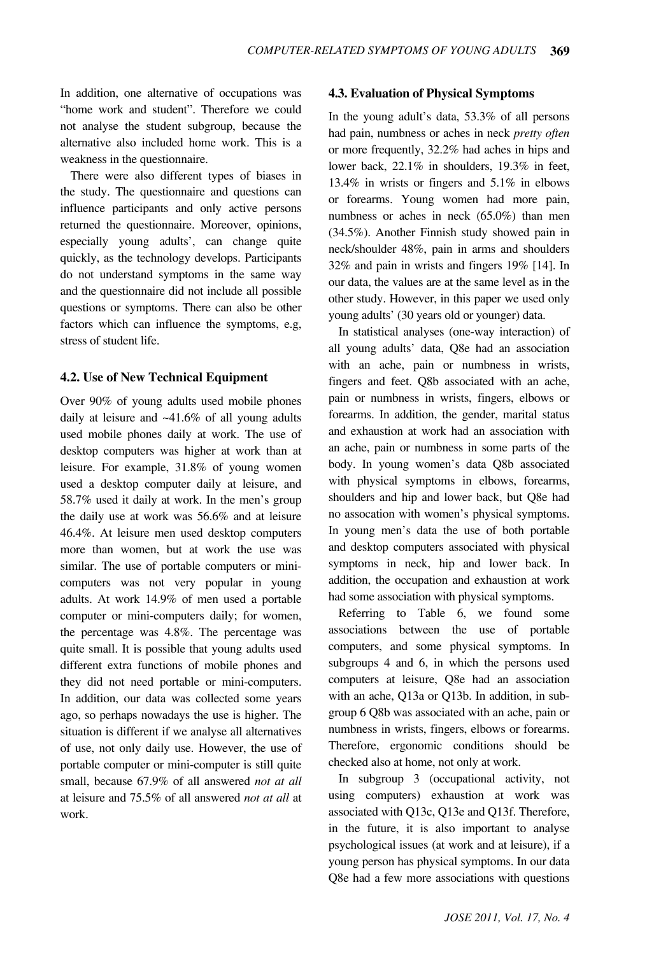In addition, one alternative of occupations was "home work and student". Therefore we could not analyse the student subgroup, because the alternative also included home work. This is a weakness in the questionnaire.

There were also different types of biases in the study. The questionnaire and questions can influence participants and only active persons returned the questionnaire. Moreover, opinions, especially young adults', can change quite quickly, as the technology develops. Participants do not understand symptoms in the same way and the questionnaire did not include all possible questions or symptoms. There can also be other factors which can influence the symptoms, e.g, stress of student life.

#### **4.2. Use of New Technical Equipment**

Over 90% of young adults used mobile phones daily at leisure and ~41.6% of all young adults used mobile phones daily at work. The use of desktop computers was higher at work than at leisure. For example, 31.8% of young women used a desktop computer daily at leisure, and 58.7% used it daily at work. In the men's group the daily use at work was 56.6% and at leisure 46.4%. At leisure men used desktop computers more than women, but at work the use was similar. The use of portable computers or minicomputers was not very popular in young adults. At work 14.9% of men used a portable computer or mini-computers daily; for women, the percentage was 4.8%. The percentage was quite small. It is possible that young adults used different extra functions of mobile phones and they did not need portable or mini-computers. In addition, our data was collected some years ago, so perhaps nowadays the use is higher. The situation is different if we analyse all alternatives of use, not only daily use. However, the use of portable computer or mini-computer is still quite small, because 67.9% of all answered *not at all* at leisure and 75.5% of all answered *not at all* at work.

#### **4.3. Evaluation of Physical Symptoms**

In the young adult's data, 53.3% of all persons had pain, numbness or aches in neck *pretty often* or more frequently, 32.2% had aches in hips and lower back, 22.1% in shoulders, 19.3% in feet, 13.4% in wrists or fingers and 5.1% in elbows or forearms. Young women had more pain, numbness or aches in neck (65.0%) than men (34.5%). Another Finnish study showed pain in neck/shoulder 48%, pain in arms and shoulders 32% and pain in wrists and fingers 19% [14]. In our data, the values are at the same level as in the other study. However, in this paper we used only young adults' (30 years old or younger) data.

In statistical analyses (one-way interaction) of all young adults' data, Q8e had an association with an ache, pain or numbness in wrists, fingers and feet. Q8b associated with an ache, pain or numbness in wrists, fingers, elbows or forearms. In addition, the gender, marital status and exhaustion at work had an association with an ache, pain or numbness in some parts of the body. In young women's data Q8b associated with physical symptoms in elbows, forearms, shoulders and hip and lower back, but Q8e had no assocation with women's physical symptoms. In young men's data the use of both portable and desktop computers associated with physical symptoms in neck, hip and lower back. In addition, the occupation and exhaustion at work had some association with physical symptoms.

Referring to Table 6, we found some associations between the use of portable computers, and some physical symptoms. In subgroups 4 and 6, in which the persons used computers at leisure, Q8e had an association with an ache, Q13a or Q13b. In addition, in subgroup 6 Q8b was associated with an ache, pain or numbness in wrists, fingers, elbows or forearms. Therefore, ergonomic conditions should be checked also at home, not only at work.

In subgroup 3 (occupational activity, not using computers) exhaustion at work was associated with Q13c, Q13e and Q13f. Therefore, in the future, it is also important to analyse psychological issues (at work and at leisure), if a young person has physical symptoms. In our data Q8e had a few more associations with questions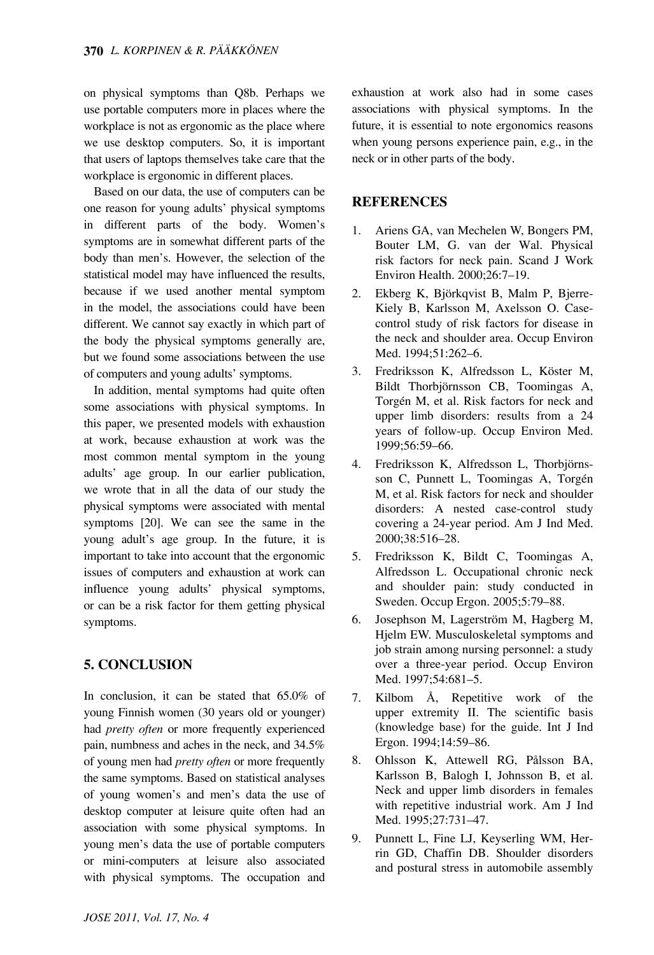on physical symptoms than Q8b. Perhaps we use portable computers more in places where the workplace is not as ergonomic as the place where we use desktop computers. So, it is important that users of laptops themselves take care that the workplace is ergonomic in different places.

Based on our data, the use of computers can be one reason for young adults' physical symptoms in different parts of the body. Women's symptoms are in somewhat different parts of the body than men's. However, the selection of the statistical model may have influenced the results, because if we used another mental symptom in the model, the associations could have been different. We cannot say exactly in which part of the body the physical symptoms generally are, but we found some associations between the use of computers and young adults' symptoms.

In addition, mental symptoms had quite often some associations with physical symptoms. In this paper, we presented models with exhaustion at work, because exhaustion at work was the most common mental symptom in the young adults' age group. In our earlier publication, we wrote that in all the data of our study the physical symptoms were associated with mental symptoms [20]. We can see the same in the young adult's age group. In the future, it is important to take into account that the ergonomic issues of computers and exhaustion at work can influence young adults' physical symptoms, or can be a risk factor for them getting physical symptoms.

# **5. CONCLUSION**

In conclusion, it can be stated that 65.0% of young Finnish women (30 years old or younger) had *pretty often* or more frequently experienced pain, numbness and aches in the neck, and 34.5% of young men had *pretty often* or more frequently the same symptoms. Based on statistical analyses of young women's and men's data the use of desktop computer at leisure quite often had an association with some physical symptoms. In young men's data the use of portable computers or mini-computers at leisure also associated with physical symptoms. The occupation and exhaustion at work also had in some cases associations with physical symptoms. In the future, it is essential to note ergonomics reasons when young persons experience pain, e.g., in the neck or in other parts of the body.

## **REFERENCES**

- 1. Ariens GA, van Mechelen W, Bongers PM, Bouter LM, G. van der Wal. Physical risk factors for neck pain. Scand J Work Environ Health. 2000;26:7–19.
- 2. Ekberg K, Björkqvist B, Malm P, Bjerre-Kiely B, Karlsson M, Axelsson O. Casecontrol study of risk factors for disease in the neck and shoulder area. Occup Environ Med. 1994;51:262–6.
- 3. Fredriksson K, Alfredsson L, Köster M, Bildt Thorbjörnsson CB, Toomingas A, Torgén M, et al. Risk factors for neck and upper limb disorders: results from a 24 years of follow-up. Occup Environ Med. 1999;56:59–66.
- 4. Fredriksson K, Alfredsson L, Thorbjörnsson C, Punnett L, Toomingas A, Torgén M, et al. Risk factors for neck and shoulder disorders: A nested case-control study covering a 24-year period. Am J Ind Med. 2000;38:516–28.
- 5. Fredriksson K, Bildt C, Toomingas A, Alfredsson L. Occupational chronic neck and shoulder pain: study conducted in Sweden. Occup Ergon. 2005;5:79–88.
- 6. Josephson M, Lagerström M, Hagberg M, Hjelm EW. Musculoskeletal symptoms and job strain among nursing personnel: a study over a three-year period. Occup Environ Med. 1997:54:681-5.
- 7. Kilbom Å, Repetitive work of the upper extremity II. The scientific basis (knowledge base) for the guide. Int J Ind Ergon. 1994;14:59–86.
- 8. Ohlsson K, Attewell RG, Pålsson BA, Karlsson B, Balogh I, Johnsson B, et al. Neck and upper limb disorders in females with repetitive industrial work. Am J Ind Med. 1995;27:731–47.
- 9. Punnett L, Fine LJ, Keyserling WM, Herrin GD, Chaffin DB. Shoulder disorders and postural stress in automobile assembly